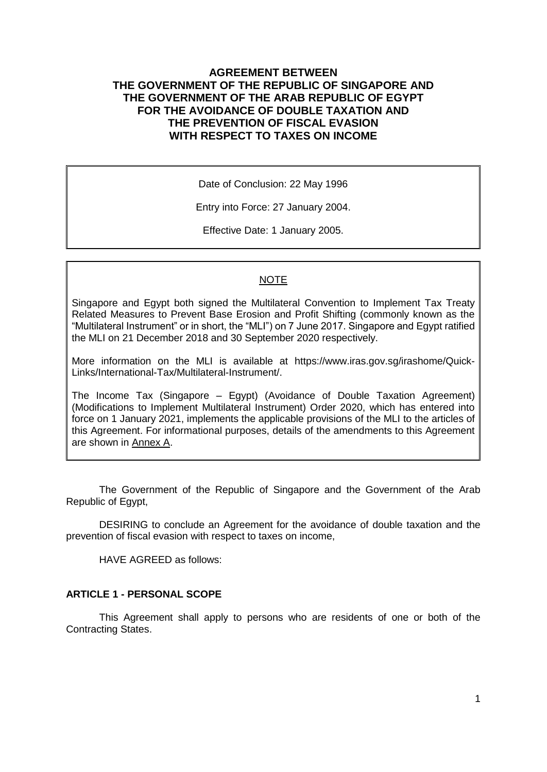## **AGREEMENT BETWEEN THE GOVERNMENT OF THE REPUBLIC OF SINGAPORE AND THE GOVERNMENT OF THE ARAB REPUBLIC OF EGYPT FOR THE AVOIDANCE OF DOUBLE TAXATION AND THE PREVENTION OF FISCAL EVASION WITH RESPECT TO TAXES ON INCOME**

Date of Conclusion: 22 May 1996

Entry into Force: 27 January 2004.

Effective Date: 1 January 2005.

#### NOTE

Singapore and Egypt both signed the Multilateral Convention to Implement Tax Treaty Related Measures to Prevent Base Erosion and Profit Shifting (commonly known as the "Multilateral Instrument" or in short, the "MLI") on 7 June 2017. Singapore and Egypt ratified the MLI on 21 December 2018 and 30 September 2020 respectively.

More information on the MLI is available at https://www.iras.gov.sg/irashome/Quick-Links/International-Tax/Multilateral-Instrument/.

The Income Tax (Singapore – Egypt) (Avoidance of Double Taxation Agreement) (Modifications to Implement Multilateral Instrument) Order 2020, which has entered into force on 1 January 2021, implements the applicable provisions of the MLI to the articles of this Agreement. For informational purposes, details of the amendments to this Agreement are shown in Annex A.

The Government of the Republic of Singapore and the Government of the Arab Republic of Egypt,

DESIRING to conclude an Agreement for the avoidance of double taxation and the prevention of fiscal evasion with respect to taxes on income,

HAVE AGREED as follows:

#### **ARTICLE 1 - PERSONAL SCOPE**

This Agreement shall apply to persons who are residents of one or both of the Contracting States.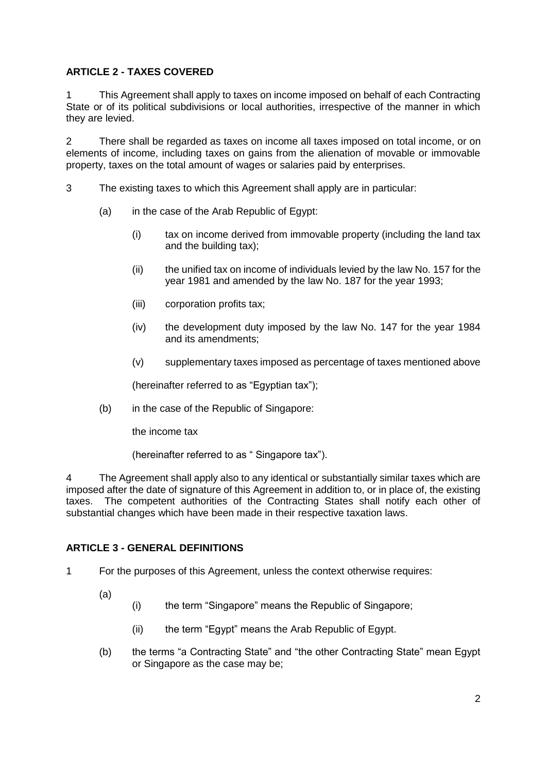## **ARTICLE 2 - TAXES COVERED**

1 This Agreement shall apply to taxes on income imposed on behalf of each Contracting State or of its political subdivisions or local authorities, irrespective of the manner in which they are levied.

2 There shall be regarded as taxes on income all taxes imposed on total income, or on elements of income, including taxes on gains from the alienation of movable or immovable property, taxes on the total amount of wages or salaries paid by enterprises.

- 3 The existing taxes to which this Agreement shall apply are in particular:
	- (a) in the case of the Arab Republic of Egypt:
		- (i) tax on income derived from immovable property (including the land tax and the building tax);
		- (ii) the unified tax on income of individuals levied by the law No. 157 for the year 1981 and amended by the law No. 187 for the year 1993;
		- (iii) corporation profits tax;
		- (iv) the development duty imposed by the law No. 147 for the year 1984 and its amendments;
		- (v) supplementary taxes imposed as percentage of taxes mentioned above

(hereinafter referred to as "Egyptian tax");

(b) in the case of the Republic of Singapore:

the income tax

(hereinafter referred to as " Singapore tax").

4 The Agreement shall apply also to any identical or substantially similar taxes which are imposed after the date of signature of this Agreement in addition to, or in place of, the existing taxes. The competent authorities of the Contracting States shall notify each other of substantial changes which have been made in their respective taxation laws.

## **ARTICLE 3 - GENERAL DEFINITIONS**

- 1 For the purposes of this Agreement, unless the context otherwise requires:
	- (a)
- (i) the term "Singapore" means the Republic of Singapore;
	- (ii) the term "Egypt" means the Arab Republic of Egypt.
- (b) the terms "a Contracting State" and "the other Contracting State" mean Egypt or Singapore as the case may be;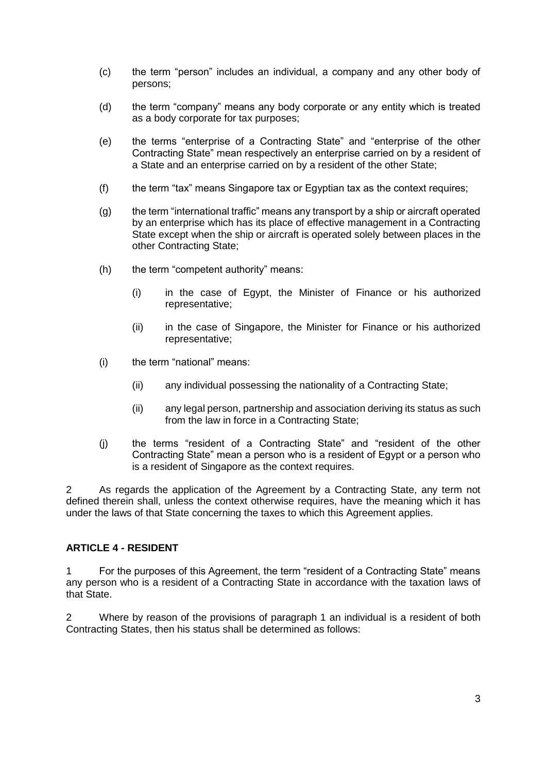- (c) the term "person" includes an individual, a company and any other body of persons;
- (d) the term "company" means any body corporate or any entity which is treated as a body corporate for tax purposes;
- (e) the terms "enterprise of a Contracting State" and "enterprise of the other Contracting State" mean respectively an enterprise carried on by a resident of a State and an enterprise carried on by a resident of the other State;
- (f) the term "tax" means Singapore tax or Egyptian tax as the context requires;
- (g) the term "international traffic" means any transport by a ship or aircraft operated by an enterprise which has its place of effective management in a Contracting State except when the ship or aircraft is operated solely between places in the other Contracting State;
- (h) the term "competent authority" means:
	- (i) in the case of Egypt, the Minister of Finance or his authorized representative;
	- (ii) in the case of Singapore, the Minister for Finance or his authorized representative;
- (i) the term "national" means:
	- (ii) any individual possessing the nationality of a Contracting State;
	- (ii) any legal person, partnership and association deriving its status as such from the law in force in a Contracting State;
- (j) the terms "resident of a Contracting State" and "resident of the other Contracting State" mean a person who is a resident of Egypt or a person who is a resident of Singapore as the context requires.

2 As regards the application of the Agreement by a Contracting State, any term not defined therein shall, unless the context otherwise requires, have the meaning which it has under the laws of that State concerning the taxes to which this Agreement applies.

#### **ARTICLE 4 - RESIDENT**

1 For the purposes of this Agreement, the term "resident of a Contracting State" means any person who is a resident of a Contracting State in accordance with the taxation laws of that State.

2 Where by reason of the provisions of paragraph 1 an individual is a resident of both Contracting States, then his status shall be determined as follows: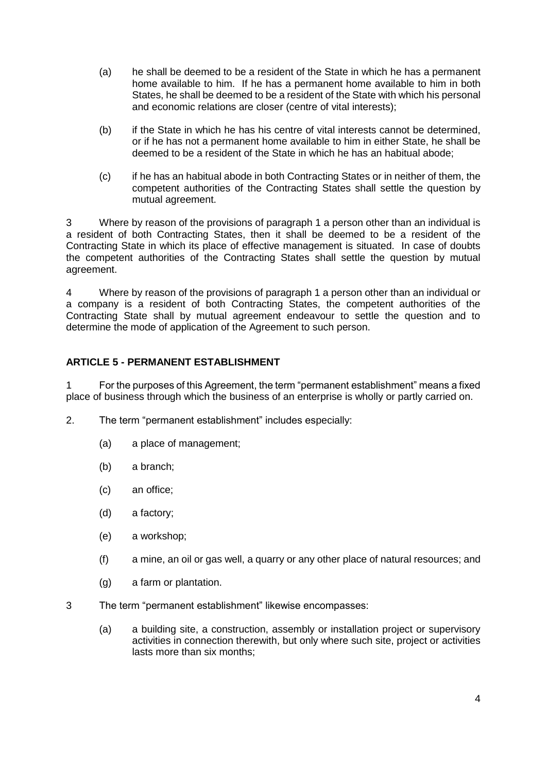- (a) he shall be deemed to be a resident of the State in which he has a permanent home available to him. If he has a permanent home available to him in both States, he shall be deemed to be a resident of the State with which his personal and economic relations are closer (centre of vital interests);
- (b) if the State in which he has his centre of vital interests cannot be determined, or if he has not a permanent home available to him in either State, he shall be deemed to be a resident of the State in which he has an habitual abode;
- (c) if he has an habitual abode in both Contracting States or in neither of them, the competent authorities of the Contracting States shall settle the question by mutual agreement.

3 Where by reason of the provisions of paragraph 1 a person other than an individual is a resident of both Contracting States, then it shall be deemed to be a resident of the Contracting State in which its place of effective management is situated. In case of doubts the competent authorities of the Contracting States shall settle the question by mutual agreement.

4 Where by reason of the provisions of paragraph 1 a person other than an individual or a company is a resident of both Contracting States, the competent authorities of the Contracting State shall by mutual agreement endeavour to settle the question and to determine the mode of application of the Agreement to such person.

## **ARTICLE 5 - PERMANENT ESTABLISHMENT**

1 For the purposes of this Agreement, the term "permanent establishment" means a fixed place of business through which the business of an enterprise is wholly or partly carried on.

- 2. The term "permanent establishment" includes especially:
	- (a) a place of management;
	- (b) a branch;
	- (c) an office;
	- (d) a factory;
	- (e) a workshop;
	- (f) a mine, an oil or gas well, a quarry or any other place of natural resources; and
	- (g) a farm or plantation.
- 3 The term "permanent establishment" likewise encompasses:
	- (a) a building site, a construction, assembly or installation project or supervisory activities in connection therewith, but only where such site, project or activities lasts more than six months;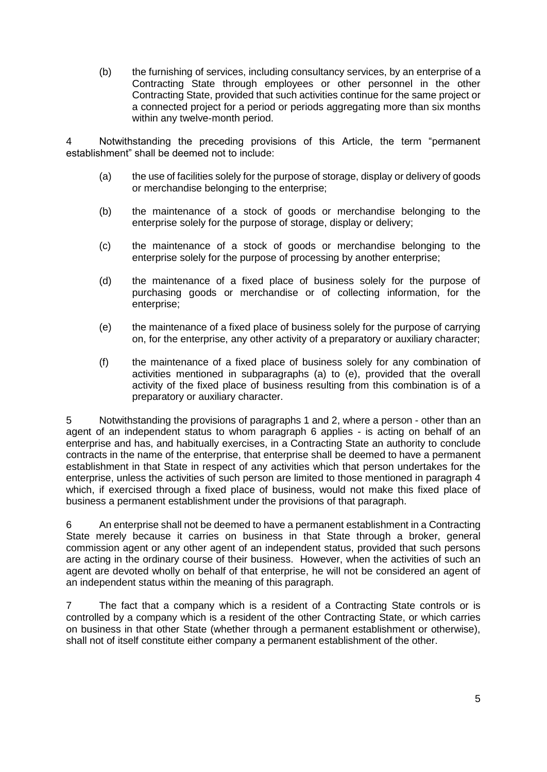(b) the furnishing of services, including consultancy services, by an enterprise of a Contracting State through employees or other personnel in the other Contracting State, provided that such activities continue for the same project or a connected project for a period or periods aggregating more than six months within any twelve-month period.

4 Notwithstanding the preceding provisions of this Article, the term "permanent establishment" shall be deemed not to include:

- (a) the use of facilities solely for the purpose of storage, display or delivery of goods or merchandise belonging to the enterprise;
- (b) the maintenance of a stock of goods or merchandise belonging to the enterprise solely for the purpose of storage, display or delivery;
- (c) the maintenance of a stock of goods or merchandise belonging to the enterprise solely for the purpose of processing by another enterprise;
- (d) the maintenance of a fixed place of business solely for the purpose of purchasing goods or merchandise or of collecting information, for the enterprise;
- (e) the maintenance of a fixed place of business solely for the purpose of carrying on, for the enterprise, any other activity of a preparatory or auxiliary character;
- (f) the maintenance of a fixed place of business solely for any combination of activities mentioned in subparagraphs (a) to (e), provided that the overall activity of the fixed place of business resulting from this combination is of a preparatory or auxiliary character.

5 Notwithstanding the provisions of paragraphs 1 and 2, where a person - other than an agent of an independent status to whom paragraph 6 applies - is acting on behalf of an enterprise and has, and habitually exercises, in a Contracting State an authority to conclude contracts in the name of the enterprise, that enterprise shall be deemed to have a permanent establishment in that State in respect of any activities which that person undertakes for the enterprise, unless the activities of such person are limited to those mentioned in paragraph 4 which, if exercised through a fixed place of business, would not make this fixed place of business a permanent establishment under the provisions of that paragraph.

6 An enterprise shall not be deemed to have a permanent establishment in a Contracting State merely because it carries on business in that State through a broker, general commission agent or any other agent of an independent status, provided that such persons are acting in the ordinary course of their business. However, when the activities of such an agent are devoted wholly on behalf of that enterprise, he will not be considered an agent of an independent status within the meaning of this paragraph.

7 The fact that a company which is a resident of a Contracting State controls or is controlled by a company which is a resident of the other Contracting State, or which carries on business in that other State (whether through a permanent establishment or otherwise), shall not of itself constitute either company a permanent establishment of the other.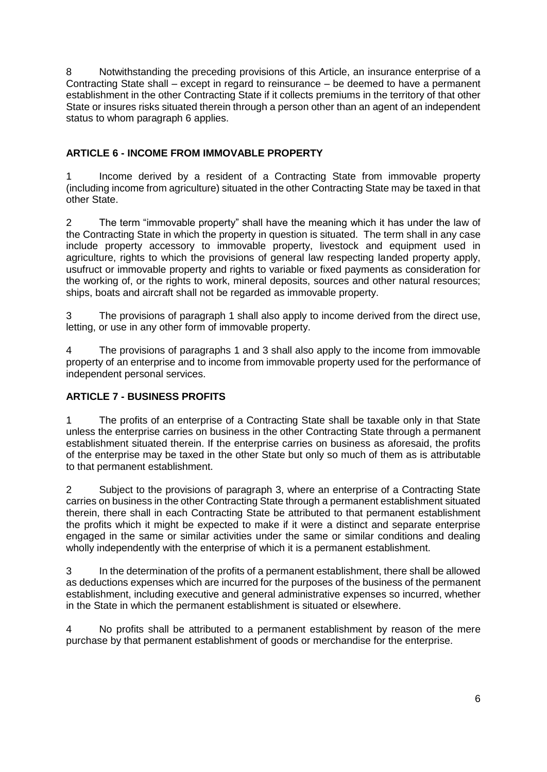8 Notwithstanding the preceding provisions of this Article, an insurance enterprise of a Contracting State shall – except in regard to reinsurance – be deemed to have a permanent establishment in the other Contracting State if it collects premiums in the territory of that other State or insures risks situated therein through a person other than an agent of an independent status to whom paragraph 6 applies.

## **ARTICLE 6 - INCOME FROM IMMOVABLE PROPERTY**

1 Income derived by a resident of a Contracting State from immovable property (including income from agriculture) situated in the other Contracting State may be taxed in that other State.

2 The term "immovable property" shall have the meaning which it has under the law of the Contracting State in which the property in question is situated. The term shall in any case include property accessory to immovable property, livestock and equipment used in agriculture, rights to which the provisions of general law respecting landed property apply, usufruct or immovable property and rights to variable or fixed payments as consideration for the working of, or the rights to work, mineral deposits, sources and other natural resources; ships, boats and aircraft shall not be regarded as immovable property.

3 The provisions of paragraph 1 shall also apply to income derived from the direct use, letting, or use in any other form of immovable property.

4 The provisions of paragraphs 1 and 3 shall also apply to the income from immovable property of an enterprise and to income from immovable property used for the performance of independent personal services.

## **ARTICLE 7 - BUSINESS PROFITS**

1 The profits of an enterprise of a Contracting State shall be taxable only in that State unless the enterprise carries on business in the other Contracting State through a permanent establishment situated therein. If the enterprise carries on business as aforesaid, the profits of the enterprise may be taxed in the other State but only so much of them as is attributable to that permanent establishment.

2 Subject to the provisions of paragraph 3, where an enterprise of a Contracting State carries on business in the other Contracting State through a permanent establishment situated therein, there shall in each Contracting State be attributed to that permanent establishment the profits which it might be expected to make if it were a distinct and separate enterprise engaged in the same or similar activities under the same or similar conditions and dealing wholly independently with the enterprise of which it is a permanent establishment.

3 In the determination of the profits of a permanent establishment, there shall be allowed as deductions expenses which are incurred for the purposes of the business of the permanent establishment, including executive and general administrative expenses so incurred, whether in the State in which the permanent establishment is situated or elsewhere.

4 No profits shall be attributed to a permanent establishment by reason of the mere purchase by that permanent establishment of goods or merchandise for the enterprise.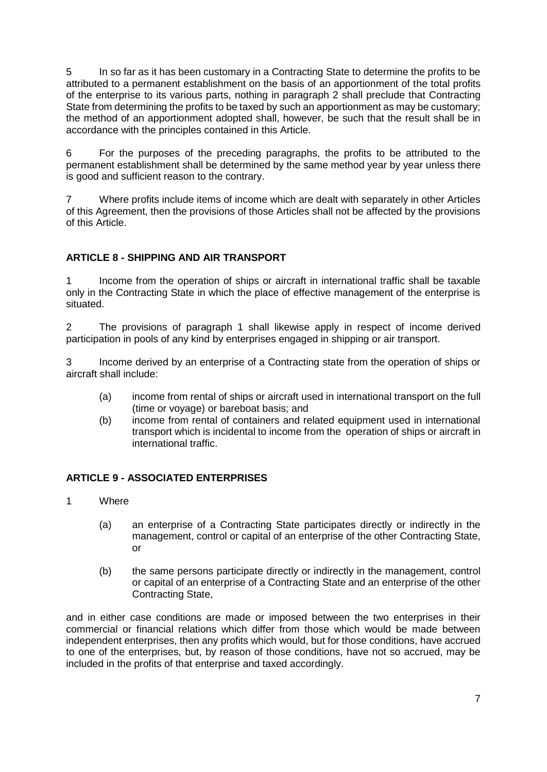5 In so far as it has been customary in a Contracting State to determine the profits to be attributed to a permanent establishment on the basis of an apportionment of the total profits of the enterprise to its various parts, nothing in paragraph 2 shall preclude that Contracting State from determining the profits to be taxed by such an apportionment as may be customary; the method of an apportionment adopted shall, however, be such that the result shall be in accordance with the principles contained in this Article.

6 For the purposes of the preceding paragraphs, the profits to be attributed to the permanent establishment shall be determined by the same method year by year unless there is good and sufficient reason to the contrary.

7 Where profits include items of income which are dealt with separately in other Articles of this Agreement, then the provisions of those Articles shall not be affected by the provisions of this Article.

# **ARTICLE 8 - SHIPPING AND AIR TRANSPORT**

1 Income from the operation of ships or aircraft in international traffic shall be taxable only in the Contracting State in which the place of effective management of the enterprise is situated.

2 The provisions of paragraph 1 shall likewise apply in respect of income derived participation in pools of any kind by enterprises engaged in shipping or air transport.

3 Income derived by an enterprise of a Contracting state from the operation of ships or aircraft shall include:

- (a) income from rental of ships or aircraft used in international transport on the full (time or voyage) or bareboat basis; and
- (b) income from rental of containers and related equipment used in international transport which is incidental to income from the operation of ships or aircraft in international traffic.

## **ARTICLE 9 - ASSOCIATED ENTERPRISES**

- 1 Where
	- (a) an enterprise of a Contracting State participates directly or indirectly in the management, control or capital of an enterprise of the other Contracting State, or
	- (b) the same persons participate directly or indirectly in the management, control or capital of an enterprise of a Contracting State and an enterprise of the other Contracting State,

and in either case conditions are made or imposed between the two enterprises in their commercial or financial relations which differ from those which would be made between independent enterprises, then any profits which would, but for those conditions, have accrued to one of the enterprises, but, by reason of those conditions, have not so accrued, may be included in the profits of that enterprise and taxed accordingly.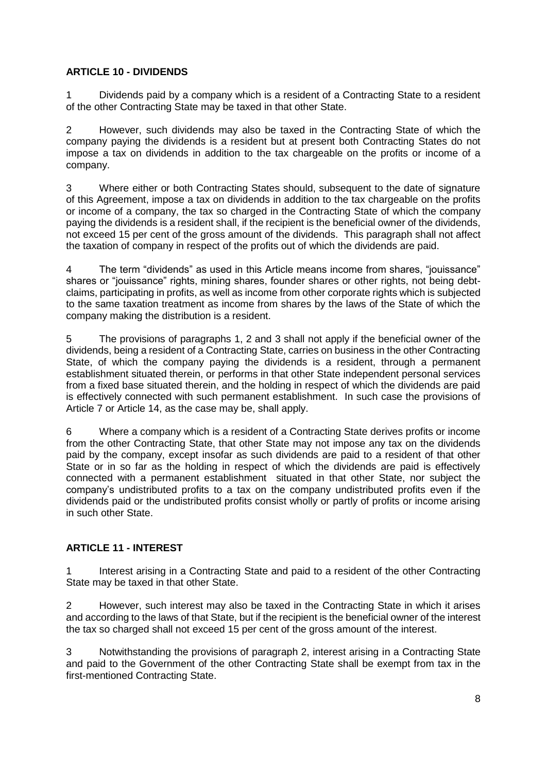## **ARTICLE 10 - DIVIDENDS**

1 Dividends paid by a company which is a resident of a Contracting State to a resident of the other Contracting State may be taxed in that other State.

2 However, such dividends may also be taxed in the Contracting State of which the company paying the dividends is a resident but at present both Contracting States do not impose a tax on dividends in addition to the tax chargeable on the profits or income of a company.

3 Where either or both Contracting States should, subsequent to the date of signature of this Agreement, impose a tax on dividends in addition to the tax chargeable on the profits or income of a company, the tax so charged in the Contracting State of which the company paying the dividends is a resident shall, if the recipient is the beneficial owner of the dividends, not exceed 15 per cent of the gross amount of the dividends. This paragraph shall not affect the taxation of company in respect of the profits out of which the dividends are paid.

4 The term "dividends" as used in this Article means income from shares, "jouissance" shares or "jouissance" rights, mining shares, founder shares or other rights, not being debtclaims, participating in profits, as well as income from other corporate rights which is subjected to the same taxation treatment as income from shares by the laws of the State of which the company making the distribution is a resident.

5 The provisions of paragraphs 1, 2 and 3 shall not apply if the beneficial owner of the dividends, being a resident of a Contracting State, carries on business in the other Contracting State, of which the company paying the dividends is a resident, through a permanent establishment situated therein, or performs in that other State independent personal services from a fixed base situated therein, and the holding in respect of which the dividends are paid is effectively connected with such permanent establishment. In such case the provisions of Article 7 or Article 14, as the case may be, shall apply.

6 Where a company which is a resident of a Contracting State derives profits or income from the other Contracting State, that other State may not impose any tax on the dividends paid by the company, except insofar as such dividends are paid to a resident of that other State or in so far as the holding in respect of which the dividends are paid is effectively connected with a permanent establishment situated in that other State, nor subject the company's undistributed profits to a tax on the company undistributed profits even if the dividends paid or the undistributed profits consist wholly or partly of profits or income arising in such other State.

# **ARTICLE 11 - INTEREST**

Interest arising in a Contracting State and paid to a resident of the other Contracting State may be taxed in that other State.

2 However, such interest may also be taxed in the Contracting State in which it arises and according to the laws of that State, but if the recipient is the beneficial owner of the interest the tax so charged shall not exceed 15 per cent of the gross amount of the interest.

3 Notwithstanding the provisions of paragraph 2, interest arising in a Contracting State and paid to the Government of the other Contracting State shall be exempt from tax in the first-mentioned Contracting State.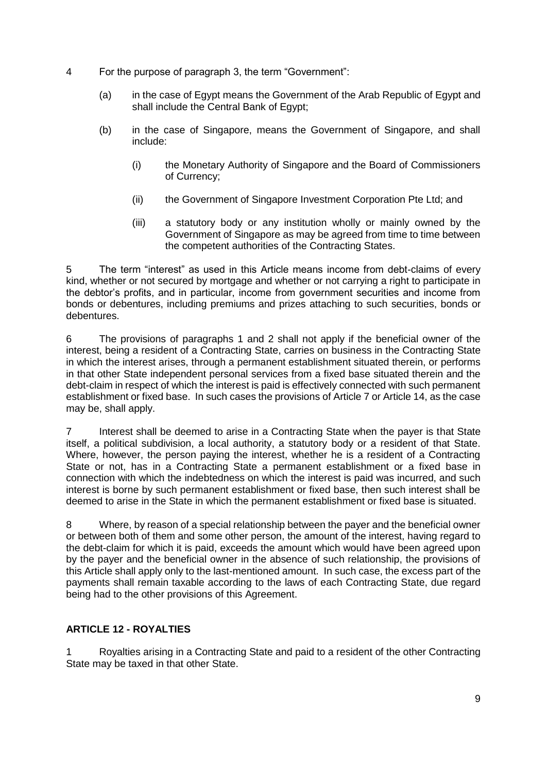- 4 For the purpose of paragraph 3, the term "Government":
	- (a) in the case of Egypt means the Government of the Arab Republic of Egypt and shall include the Central Bank of Egypt;
	- (b) in the case of Singapore, means the Government of Singapore, and shall include:
		- (i) the Monetary Authority of Singapore and the Board of Commissioners of Currency;
		- (ii) the Government of Singapore Investment Corporation Pte Ltd; and
		- (iii) a statutory body or any institution wholly or mainly owned by the Government of Singapore as may be agreed from time to time between the competent authorities of the Contracting States.

5 The term "interest" as used in this Article means income from debt-claims of every kind, whether or not secured by mortgage and whether or not carrying a right to participate in the debtor's profits, and in particular, income from government securities and income from bonds or debentures, including premiums and prizes attaching to such securities, bonds or debentures.

6 The provisions of paragraphs 1 and 2 shall not apply if the beneficial owner of the interest, being a resident of a Contracting State, carries on business in the Contracting State in which the interest arises, through a permanent establishment situated therein, or performs in that other State independent personal services from a fixed base situated therein and the debt-claim in respect of which the interest is paid is effectively connected with such permanent establishment or fixed base. In such cases the provisions of Article 7 or Article 14, as the case may be, shall apply.

7 Interest shall be deemed to arise in a Contracting State when the payer is that State itself, a political subdivision, a local authority, a statutory body or a resident of that State. Where, however, the person paying the interest, whether he is a resident of a Contracting State or not, has in a Contracting State a permanent establishment or a fixed base in connection with which the indebtedness on which the interest is paid was incurred, and such interest is borne by such permanent establishment or fixed base, then such interest shall be deemed to arise in the State in which the permanent establishment or fixed base is situated.

8 Where, by reason of a special relationship between the payer and the beneficial owner or between both of them and some other person, the amount of the interest, having regard to the debt-claim for which it is paid, exceeds the amount which would have been agreed upon by the payer and the beneficial owner in the absence of such relationship, the provisions of this Article shall apply only to the last-mentioned amount. In such case, the excess part of the payments shall remain taxable according to the laws of each Contracting State, due regard being had to the other provisions of this Agreement.

## **ARTICLE 12 - ROYALTIES**

Royalties arising in a Contracting State and paid to a resident of the other Contracting State may be taxed in that other State.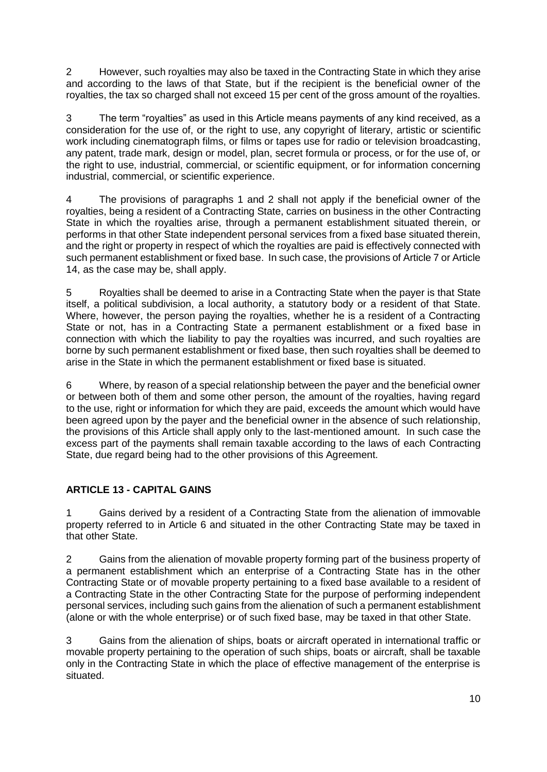2 However, such royalties may also be taxed in the Contracting State in which they arise and according to the laws of that State, but if the recipient is the beneficial owner of the royalties, the tax so charged shall not exceed 15 per cent of the gross amount of the royalties.

3 The term "royalties" as used in this Article means payments of any kind received, as a consideration for the use of, or the right to use, any copyright of literary, artistic or scientific work including cinematograph films, or films or tapes use for radio or television broadcasting, any patent, trade mark, design or model, plan, secret formula or process, or for the use of, or the right to use, industrial, commercial, or scientific equipment, or for information concerning industrial, commercial, or scientific experience.

4 The provisions of paragraphs 1 and 2 shall not apply if the beneficial owner of the royalties, being a resident of a Contracting State, carries on business in the other Contracting State in which the royalties arise, through a permanent establishment situated therein, or performs in that other State independent personal services from a fixed base situated therein, and the right or property in respect of which the royalties are paid is effectively connected with such permanent establishment or fixed base. In such case, the provisions of Article 7 or Article 14, as the case may be, shall apply.

5 Royalties shall be deemed to arise in a Contracting State when the payer is that State itself, a political subdivision, a local authority, a statutory body or a resident of that State. Where, however, the person paying the royalties, whether he is a resident of a Contracting State or not, has in a Contracting State a permanent establishment or a fixed base in connection with which the liability to pay the royalties was incurred, and such royalties are borne by such permanent establishment or fixed base, then such royalties shall be deemed to arise in the State in which the permanent establishment or fixed base is situated.

6 Where, by reason of a special relationship between the payer and the beneficial owner or between both of them and some other person, the amount of the royalties, having regard to the use, right or information for which they are paid, exceeds the amount which would have been agreed upon by the payer and the beneficial owner in the absence of such relationship, the provisions of this Article shall apply only to the last-mentioned amount. In such case the excess part of the payments shall remain taxable according to the laws of each Contracting State, due regard being had to the other provisions of this Agreement.

# **ARTICLE 13 - CAPITAL GAINS**

1 Gains derived by a resident of a Contracting State from the alienation of immovable property referred to in Article 6 and situated in the other Contracting State may be taxed in that other State.

2 Gains from the alienation of movable property forming part of the business property of a permanent establishment which an enterprise of a Contracting State has in the other Contracting State or of movable property pertaining to a fixed base available to a resident of a Contracting State in the other Contracting State for the purpose of performing independent personal services, including such gains from the alienation of such a permanent establishment (alone or with the whole enterprise) or of such fixed base, may be taxed in that other State.

3 Gains from the alienation of ships, boats or aircraft operated in international traffic or movable property pertaining to the operation of such ships, boats or aircraft, shall be taxable only in the Contracting State in which the place of effective management of the enterprise is situated.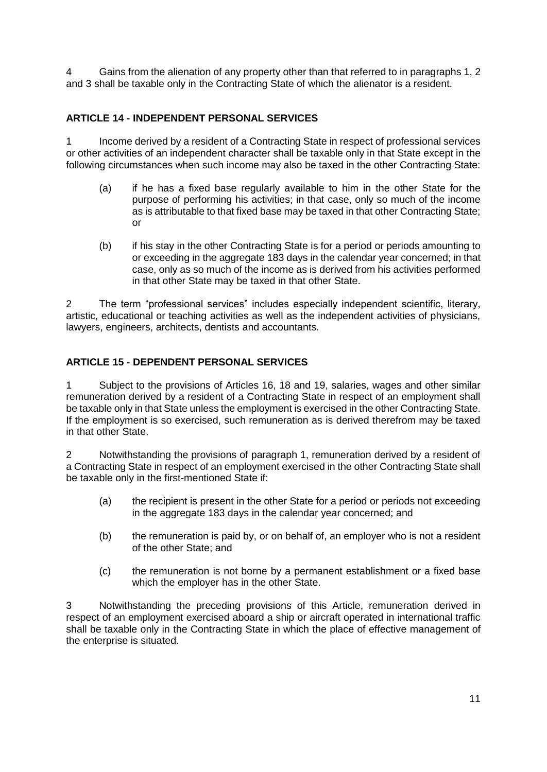4 Gains from the alienation of any property other than that referred to in paragraphs 1, 2 and 3 shall be taxable only in the Contracting State of which the alienator is a resident.

## **ARTICLE 14 - INDEPENDENT PERSONAL SERVICES**

1 Income derived by a resident of a Contracting State in respect of professional services or other activities of an independent character shall be taxable only in that State except in the following circumstances when such income may also be taxed in the other Contracting State:

- (a) if he has a fixed base regularly available to him in the other State for the purpose of performing his activities; in that case, only so much of the income as is attributable to that fixed base may be taxed in that other Contracting State; or
- (b) if his stay in the other Contracting State is for a period or periods amounting to or exceeding in the aggregate 183 days in the calendar year concerned; in that case, only as so much of the income as is derived from his activities performed in that other State may be taxed in that other State.

2 The term "professional services" includes especially independent scientific, literary, artistic, educational or teaching activities as well as the independent activities of physicians, lawyers, engineers, architects, dentists and accountants.

## **ARTICLE 15 - DEPENDENT PERSONAL SERVICES**

1 Subject to the provisions of Articles 16, 18 and 19, salaries, wages and other similar remuneration derived by a resident of a Contracting State in respect of an employment shall be taxable only in that State unless the employment is exercised in the other Contracting State. If the employment is so exercised, such remuneration as is derived therefrom may be taxed in that other State.

2 Notwithstanding the provisions of paragraph 1, remuneration derived by a resident of a Contracting State in respect of an employment exercised in the other Contracting State shall be taxable only in the first-mentioned State if:

- (a) the recipient is present in the other State for a period or periods not exceeding in the aggregate 183 days in the calendar year concerned; and
- (b) the remuneration is paid by, or on behalf of, an employer who is not a resident of the other State; and
- (c) the remuneration is not borne by a permanent establishment or a fixed base which the employer has in the other State.

3 Notwithstanding the preceding provisions of this Article, remuneration derived in respect of an employment exercised aboard a ship or aircraft operated in international traffic shall be taxable only in the Contracting State in which the place of effective management of the enterprise is situated.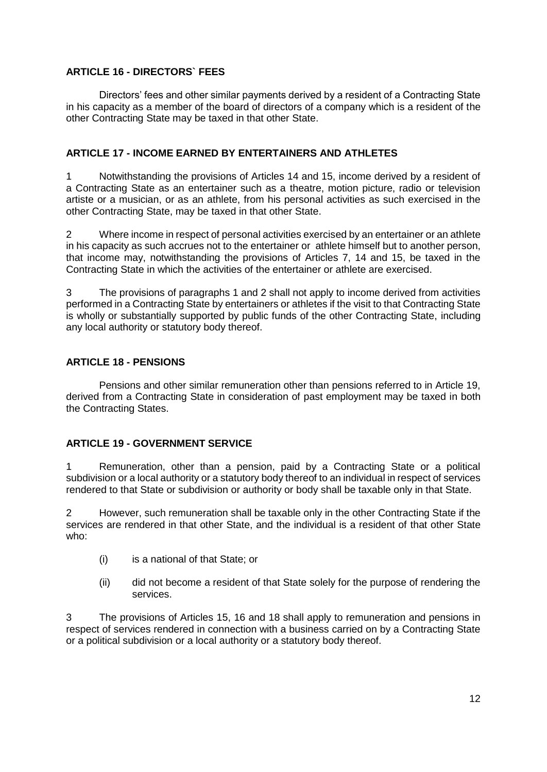## **ARTICLE 16 - DIRECTORS` FEES**

Directors' fees and other similar payments derived by a resident of a Contracting State in his capacity as a member of the board of directors of a company which is a resident of the other Contracting State may be taxed in that other State.

## **ARTICLE 17 - INCOME EARNED BY ENTERTAINERS AND ATHLETES**

1 Notwithstanding the provisions of Articles 14 and 15, income derived by a resident of a Contracting State as an entertainer such as a theatre, motion picture, radio or television artiste or a musician, or as an athlete, from his personal activities as such exercised in the other Contracting State, may be taxed in that other State.

2 Where income in respect of personal activities exercised by an entertainer or an athlete in his capacity as such accrues not to the entertainer or athlete himself but to another person, that income may, notwithstanding the provisions of Articles 7, 14 and 15, be taxed in the Contracting State in which the activities of the entertainer or athlete are exercised.

3 The provisions of paragraphs 1 and 2 shall not apply to income derived from activities performed in a Contracting State by entertainers or athletes if the visit to that Contracting State is wholly or substantially supported by public funds of the other Contracting State, including any local authority or statutory body thereof.

## **ARTICLE 18 - PENSIONS**

Pensions and other similar remuneration other than pensions referred to in Article 19, derived from a Contracting State in consideration of past employment may be taxed in both the Contracting States.

## **ARTICLE 19 - GOVERNMENT SERVICE**

1 Remuneration, other than a pension, paid by a Contracting State or a political subdivision or a local authority or a statutory body thereof to an individual in respect of services rendered to that State or subdivision or authority or body shall be taxable only in that State.

2 However, such remuneration shall be taxable only in the other Contracting State if the services are rendered in that other State, and the individual is a resident of that other State who:

- (i) is a national of that State; or
- (ii) did not become a resident of that State solely for the purpose of rendering the services.

3 The provisions of Articles 15, 16 and 18 shall apply to remuneration and pensions in respect of services rendered in connection with a business carried on by a Contracting State or a political subdivision or a local authority or a statutory body thereof.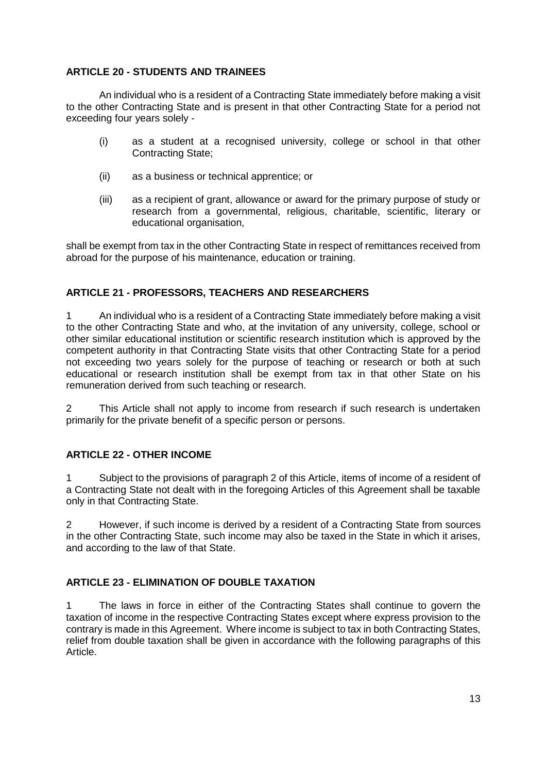## **ARTICLE 20 - STUDENTS AND TRAINEES**

An individual who is a resident of a Contracting State immediately before making a visit to the other Contracting State and is present in that other Contracting State for a period not exceeding four years solely -

- (i) as a student at a recognised university, college or school in that other Contracting State;
- (ii) as a business or technical apprentice; or
- (iii) as a recipient of grant, allowance or award for the primary purpose of study or research from a governmental, religious, charitable, scientific, literary or educational organisation,

shall be exempt from tax in the other Contracting State in respect of remittances received from abroad for the purpose of his maintenance, education or training.

## **ARTICLE 21 - PROFESSORS, TEACHERS AND RESEARCHERS**

1 An individual who is a resident of a Contracting State immediately before making a visit to the other Contracting State and who, at the invitation of any university, college, school or other similar educational institution or scientific research institution which is approved by the competent authority in that Contracting State visits that other Contracting State for a period not exceeding two years solely for the purpose of teaching or research or both at such educational or research institution shall be exempt from tax in that other State on his remuneration derived from such teaching or research.

2 This Article shall not apply to income from research if such research is undertaken primarily for the private benefit of a specific person or persons.

#### **ARTICLE 22 - OTHER INCOME**

1 Subject to the provisions of paragraph 2 of this Article, items of income of a resident of a Contracting State not dealt with in the foregoing Articles of this Agreement shall be taxable only in that Contracting State.

2 However, if such income is derived by a resident of a Contracting State from sources in the other Contracting State, such income may also be taxed in the State in which it arises, and according to the law of that State.

#### **ARTICLE 23 - ELIMINATION OF DOUBLE TAXATION**

1 The laws in force in either of the Contracting States shall continue to govern the taxation of income in the respective Contracting States except where express provision to the contrary is made in this Agreement. Where income is subject to tax in both Contracting States, relief from double taxation shall be given in accordance with the following paragraphs of this Article.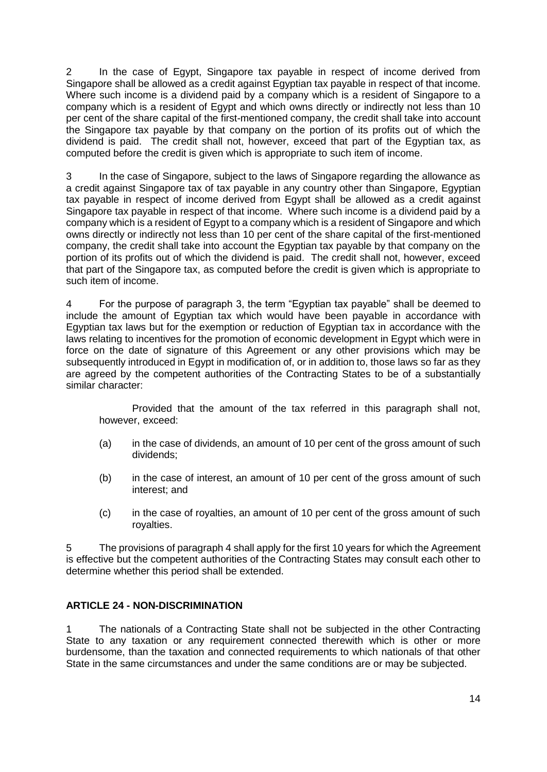2 In the case of Egypt, Singapore tax payable in respect of income derived from Singapore shall be allowed as a credit against Egyptian tax payable in respect of that income. Where such income is a dividend paid by a company which is a resident of Singapore to a company which is a resident of Egypt and which owns directly or indirectly not less than 10 per cent of the share capital of the first-mentioned company, the credit shall take into account the Singapore tax payable by that company on the portion of its profits out of which the dividend is paid. The credit shall not, however, exceed that part of the Egyptian tax, as computed before the credit is given which is appropriate to such item of income.

3 In the case of Singapore, subject to the laws of Singapore regarding the allowance as a credit against Singapore tax of tax payable in any country other than Singapore, Egyptian tax payable in respect of income derived from Egypt shall be allowed as a credit against Singapore tax payable in respect of that income. Where such income is a dividend paid by a company which is a resident of Egypt to a company which is a resident of Singapore and which owns directly or indirectly not less than 10 per cent of the share capital of the first-mentioned company, the credit shall take into account the Egyptian tax payable by that company on the portion of its profits out of which the dividend is paid. The credit shall not, however, exceed that part of the Singapore tax, as computed before the credit is given which is appropriate to such item of income.

4 For the purpose of paragraph 3, the term "Egyptian tax payable" shall be deemed to include the amount of Egyptian tax which would have been payable in accordance with Egyptian tax laws but for the exemption or reduction of Egyptian tax in accordance with the laws relating to incentives for the promotion of economic development in Egypt which were in force on the date of signature of this Agreement or any other provisions which may be subsequently introduced in Egypt in modification of, or in addition to, those laws so far as they are agreed by the competent authorities of the Contracting States to be of a substantially similar character:

Provided that the amount of the tax referred in this paragraph shall not, however, exceed:

- (a) in the case of dividends, an amount of 10 per cent of the gross amount of such dividends;
- (b) in the case of interest, an amount of 10 per cent of the gross amount of such interest; and
- (c) in the case of royalties, an amount of 10 per cent of the gross amount of such royalties.

5 The provisions of paragraph 4 shall apply for the first 10 years for which the Agreement is effective but the competent authorities of the Contracting States may consult each other to determine whether this period shall be extended.

## **ARTICLE 24 - NON-DISCRIMINATION**

1 The nationals of a Contracting State shall not be subjected in the other Contracting State to any taxation or any requirement connected therewith which is other or more burdensome, than the taxation and connected requirements to which nationals of that other State in the same circumstances and under the same conditions are or may be subjected.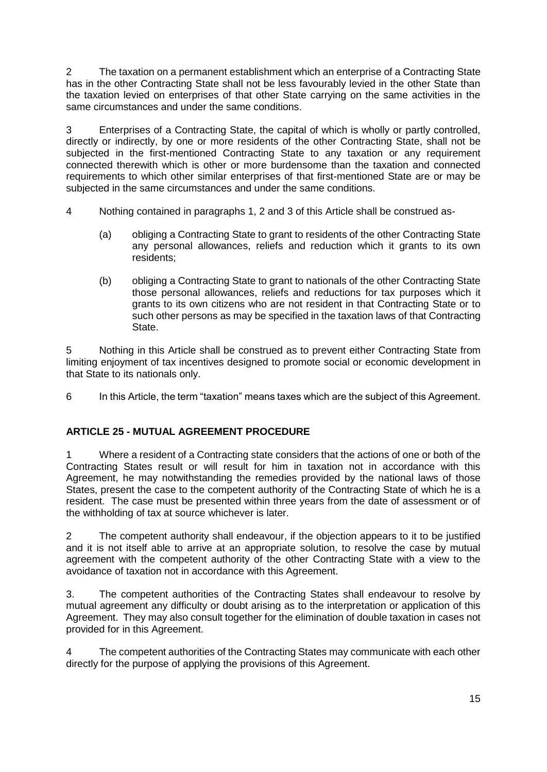2 The taxation on a permanent establishment which an enterprise of a Contracting State has in the other Contracting State shall not be less favourably levied in the other State than the taxation levied on enterprises of that other State carrying on the same activities in the same circumstances and under the same conditions.

3 Enterprises of a Contracting State, the capital of which is wholly or partly controlled, directly or indirectly, by one or more residents of the other Contracting State, shall not be subjected in the first-mentioned Contracting State to any taxation or any requirement connected therewith which is other or more burdensome than the taxation and connected requirements to which other similar enterprises of that first-mentioned State are or may be subjected in the same circumstances and under the same conditions.

- 4 Nothing contained in paragraphs 1, 2 and 3 of this Article shall be construed as-
	- (a) obliging a Contracting State to grant to residents of the other Contracting State any personal allowances, reliefs and reduction which it grants to its own residents;
	- (b) obliging a Contracting State to grant to nationals of the other Contracting State those personal allowances, reliefs and reductions for tax purposes which it grants to its own citizens who are not resident in that Contracting State or to such other persons as may be specified in the taxation laws of that Contracting State.

5 Nothing in this Article shall be construed as to prevent either Contracting State from limiting enjoyment of tax incentives designed to promote social or economic development in that State to its nationals only.

6 In this Article, the term "taxation" means taxes which are the subject of this Agreement.

# **ARTICLE 25 - MUTUAL AGREEMENT PROCEDURE**

1 Where a resident of a Contracting state considers that the actions of one or both of the Contracting States result or will result for him in taxation not in accordance with this Agreement, he may notwithstanding the remedies provided by the national laws of those States, present the case to the competent authority of the Contracting State of which he is a resident. The case must be presented within three years from the date of assessment or of the withholding of tax at source whichever is later.

2 The competent authority shall endeavour, if the objection appears to it to be justified and it is not itself able to arrive at an appropriate solution, to resolve the case by mutual agreement with the competent authority of the other Contracting State with a view to the avoidance of taxation not in accordance with this Agreement.

3. The competent authorities of the Contracting States shall endeavour to resolve by mutual agreement any difficulty or doubt arising as to the interpretation or application of this Agreement. They may also consult together for the elimination of double taxation in cases not provided for in this Agreement.

4 The competent authorities of the Contracting States may communicate with each other directly for the purpose of applying the provisions of this Agreement.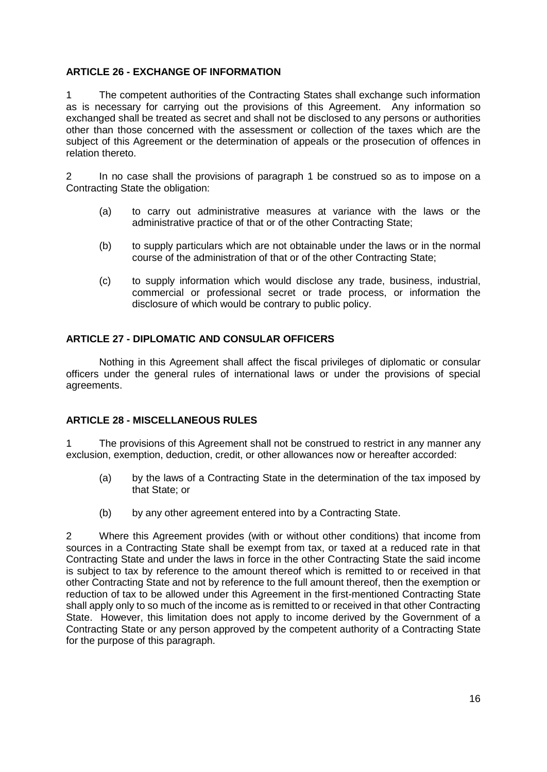## **ARTICLE 26 - EXCHANGE OF INFORMATION**

1 The competent authorities of the Contracting States shall exchange such information as is necessary for carrying out the provisions of this Agreement. Any information so exchanged shall be treated as secret and shall not be disclosed to any persons or authorities other than those concerned with the assessment or collection of the taxes which are the subject of this Agreement or the determination of appeals or the prosecution of offences in relation thereto.

2 In no case shall the provisions of paragraph 1 be construed so as to impose on a Contracting State the obligation:

- (a) to carry out administrative measures at variance with the laws or the administrative practice of that or of the other Contracting State;
- (b) to supply particulars which are not obtainable under the laws or in the normal course of the administration of that or of the other Contracting State;
- (c) to supply information which would disclose any trade, business, industrial, commercial or professional secret or trade process, or information the disclosure of which would be contrary to public policy.

## **ARTICLE 27 - DIPLOMATIC AND CONSULAR OFFICERS**

Nothing in this Agreement shall affect the fiscal privileges of diplomatic or consular officers under the general rules of international laws or under the provisions of special agreements.

#### **ARTICLE 28 - MISCELLANEOUS RULES**

1 The provisions of this Agreement shall not be construed to restrict in any manner any exclusion, exemption, deduction, credit, or other allowances now or hereafter accorded:

- (a) by the laws of a Contracting State in the determination of the tax imposed by that State; or
- (b) by any other agreement entered into by a Contracting State.

2 Where this Agreement provides (with or without other conditions) that income from sources in a Contracting State shall be exempt from tax, or taxed at a reduced rate in that Contracting State and under the laws in force in the other Contracting State the said income is subject to tax by reference to the amount thereof which is remitted to or received in that other Contracting State and not by reference to the full amount thereof, then the exemption or reduction of tax to be allowed under this Agreement in the first-mentioned Contracting State shall apply only to so much of the income as is remitted to or received in that other Contracting State. However, this limitation does not apply to income derived by the Government of a Contracting State or any person approved by the competent authority of a Contracting State for the purpose of this paragraph.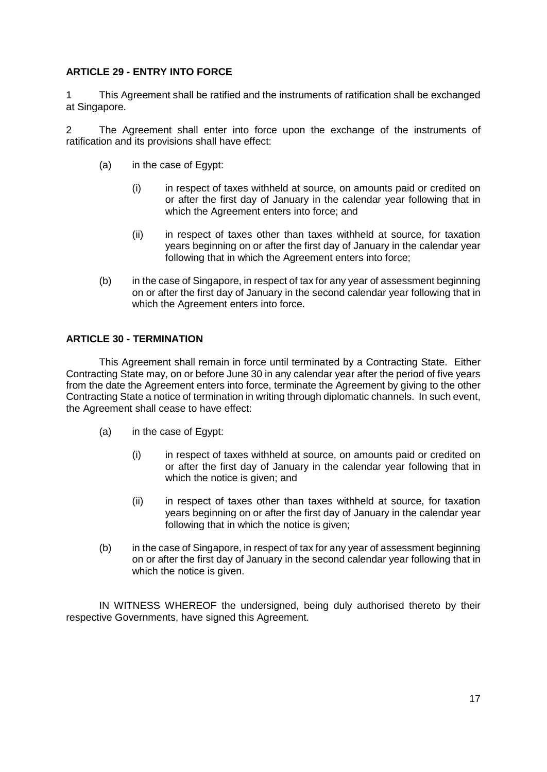## **ARTICLE 29 - ENTRY INTO FORCE**

1 This Agreement shall be ratified and the instruments of ratification shall be exchanged at Singapore.

2 The Agreement shall enter into force upon the exchange of the instruments of ratification and its provisions shall have effect:

- (a) in the case of Egypt:
	- (i) in respect of taxes withheld at source, on amounts paid or credited on or after the first day of January in the calendar year following that in which the Agreement enters into force; and
	- (ii) in respect of taxes other than taxes withheld at source, for taxation years beginning on or after the first day of January in the calendar year following that in which the Agreement enters into force;
- (b) in the case of Singapore, in respect of tax for any year of assessment beginning on or after the first day of January in the second calendar year following that in which the Agreement enters into force.

## **ARTICLE 30 - TERMINATION**

This Agreement shall remain in force until terminated by a Contracting State. Either Contracting State may, on or before June 30 in any calendar year after the period of five years from the date the Agreement enters into force, terminate the Agreement by giving to the other Contracting State a notice of termination in writing through diplomatic channels. In such event, the Agreement shall cease to have effect:

- (a) in the case of Egypt:
	- (i) in respect of taxes withheld at source, on amounts paid or credited on or after the first day of January in the calendar year following that in which the notice is given; and
	- (ii) in respect of taxes other than taxes withheld at source, for taxation years beginning on or after the first day of January in the calendar year following that in which the notice is given;
- (b) in the case of Singapore, in respect of tax for any year of assessment beginning on or after the first day of January in the second calendar year following that in which the notice is given.

IN WITNESS WHEREOF the undersigned, being duly authorised thereto by their respective Governments, have signed this Agreement.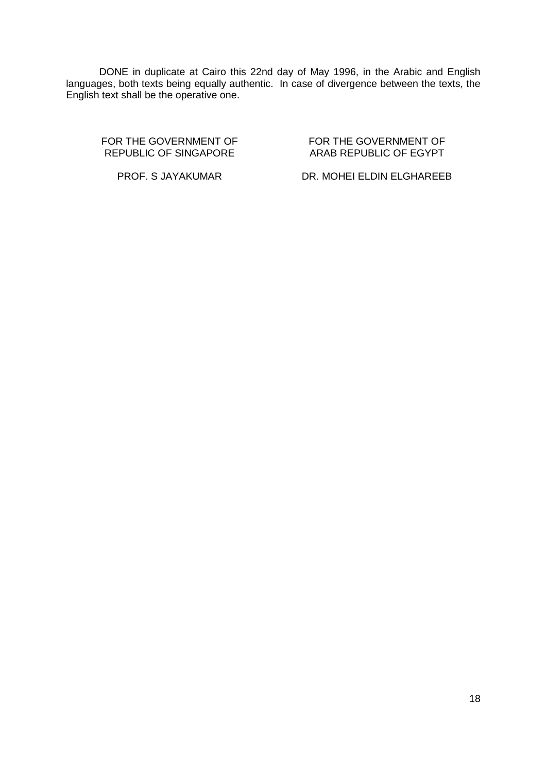DONE in duplicate at Cairo this 22nd day of May 1996, in the Arabic and English languages, both texts being equally authentic. In case of divergence between the texts, the English text shall be the operative one.

#### FOR THE GOVERNMENT OF REPUBLIC OF SINGAPORE

#### FOR THE GOVERNMENT OF ARAB REPUBLIC OF EGYPT

PROF. S JAYAKUMAR DR. MOHEI ELDIN ELGHAREEB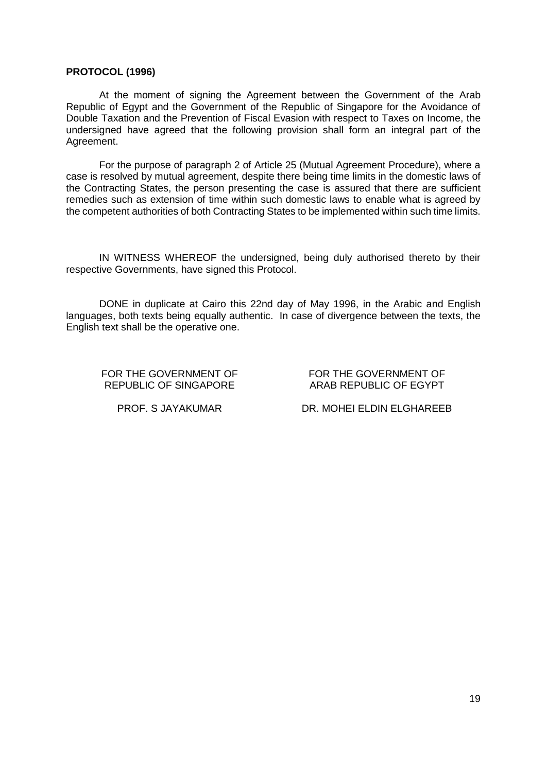#### **PROTOCOL (1996)**

At the moment of signing the Agreement between the Government of the Arab Republic of Egypt and the Government of the Republic of Singapore for the Avoidance of Double Taxation and the Prevention of Fiscal Evasion with respect to Taxes on Income, the undersigned have agreed that the following provision shall form an integral part of the Agreement.

For the purpose of paragraph 2 of Article 25 (Mutual Agreement Procedure), where a case is resolved by mutual agreement, despite there being time limits in the domestic laws of the Contracting States, the person presenting the case is assured that there are sufficient remedies such as extension of time within such domestic laws to enable what is agreed by the competent authorities of both Contracting States to be implemented within such time limits.

IN WITNESS WHEREOF the undersigned, being duly authorised thereto by their respective Governments, have signed this Protocol.

DONE in duplicate at Cairo this 22nd day of May 1996, in the Arabic and English languages, both texts being equally authentic. In case of divergence between the texts, the English text shall be the operative one.

FOR THE GOVERNMENT OF REPUBLIC OF SINGAPORE

ARAB REPUBLIC OF EGYPT

PROF. S JAYAKUMAR DR. MOHEI ELDIN ELGHAREEB

FOR THE GOVERNMENT OF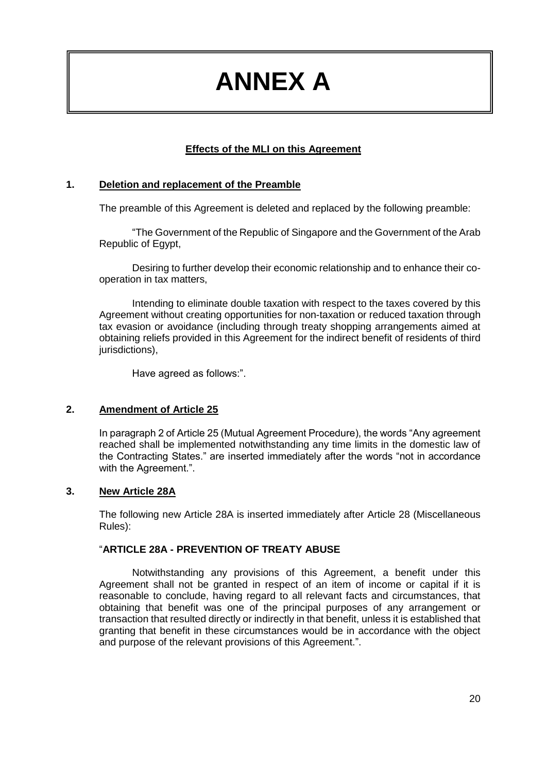# **ANNEX A**

# **Effects of the MLI on this Agreement**

#### **1. Deletion and replacement of the Preamble**

The preamble of this Agreement is deleted and replaced by the following preamble:

"The Government of the Republic of Singapore and the Government of the Arab Republic of Egypt,

Desiring to further develop their economic relationship and to enhance their cooperation in tax matters,

Intending to eliminate double taxation with respect to the taxes covered by this Agreement without creating opportunities for non-taxation or reduced taxation through tax evasion or avoidance (including through treaty shopping arrangements aimed at obtaining reliefs provided in this Agreement for the indirect benefit of residents of third jurisdictions),

Have agreed as follows:".

#### **2. Amendment of Article 25**

In paragraph 2 of Article 25 (Mutual Agreement Procedure), the words "Any agreement reached shall be implemented notwithstanding any time limits in the domestic law of the Contracting States." are inserted immediately after the words "not in accordance with the Agreement.".

#### **3. New Article 28A**

The following new Article 28A is inserted immediately after Article 28 (Miscellaneous Rules):

#### "**ARTICLE 28A - PREVENTION OF TREATY ABUSE**

Notwithstanding any provisions of this Agreement, a benefit under this Agreement shall not be granted in respect of an item of income or capital if it is reasonable to conclude, having regard to all relevant facts and circumstances, that obtaining that benefit was one of the principal purposes of any arrangement or transaction that resulted directly or indirectly in that benefit, unless it is established that granting that benefit in these circumstances would be in accordance with the object and purpose of the relevant provisions of this Agreement.".